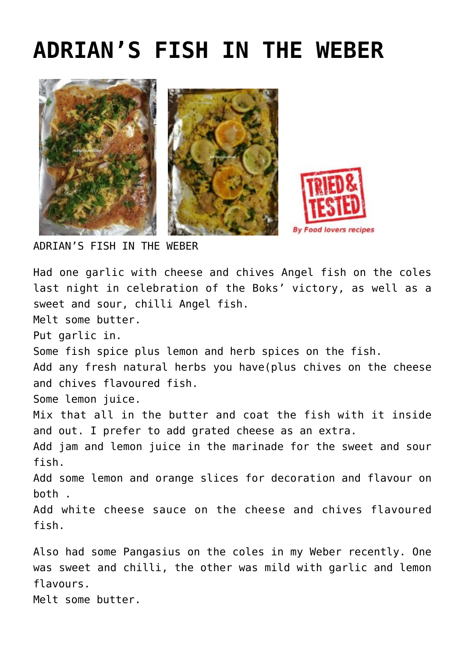## **[ADRIAN'S FISH IN THE WEBER](http://www.foodloversrecipes.com/2019/11/adrians-fish-in-the-weber/)**





ADRIAN'S FISH IN THE WEBER

Had one garlic with cheese and chives Angel fish on the coles last night in celebration of the Boks' victory, as well as a sweet and sour, chilli Angel fish. Melt some butter. Put garlic in. Some fish spice plus lemon and herb sp[ices](https://ideenreise-blog.de/2020/05/spiele-ohne-koerperkontakt-spielekartei.html?unapproved=22240&moderation-hash=1ea35730baac22fc31a16efe55600d46#comment-22240) on the fish. Add any fresh natural herbs you have(plus chives on the cheese and chives flavoured fish. Some lemon juice. Mix that all in the butter and coat the fish with it inside and out. I prefer to add grated cheese as an extra. Add jam and lemon juice in the marinade for the sweet and sour fish. Add some lemon and orange slices for decoration and flavour on both . Add white cheese sauce on the cheese and chives flavoured fish. Also had some Pangasius on the coles in my Weber recently. One was sweet and chilli, the other was mild with garlic and lemon flavours. Melt some butter.